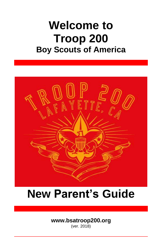# **Welcome to Troop 200 Boy Scouts of America**



# **New Parent's Guide**

# **[www.bsatroop200.org](http://www.bsatroop200.org/)**

(ver. 2018)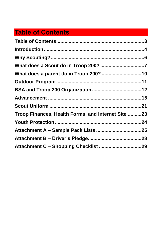# <span id="page-1-0"></span>**Table of Contents**

<span id="page-1-1"></span>

| Troop Finances, Health Forms, and Internet Site 23 |  |
|----------------------------------------------------|--|
|                                                    |  |
|                                                    |  |
|                                                    |  |
|                                                    |  |
|                                                    |  |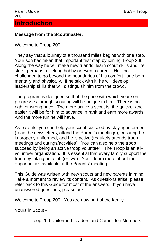#### **Message from the Scoutmaster:**

Welcome to Troop 200!

They say that a journey of a thousand miles begins with one step. Your son has taken that important first step by joining Troop 200. Along the way he will make new friends, learn scout skills and life skills, perhaps a lifelong hobby or even a career. He'll be challenged to go beyond the boundaries of his comfort zone both mentally and physically. If he stick with it, he will develop leadership skills that will distinguish him from the crowd.

The program is designed so that the pace with which your son progresses through scouting will be unique to him. There is no right or wrong pace. The more active a scout is, the quicker and easier it will be for him to advance in rank and earn more awards. And the more fun he will have.

As parents, you can help your scout succeed by staying informed (read the newsletters, attend the Parent's meetings), ensuring he is properly uniformed, and he is active (regularly attends troop meetings and outings/activities). You can also help the troop succeed by being an active troop volunteer. The Troop is an allvolunteer organization. It is essential that every family support the troop by taking on a job (or two). You'll learn more about the opportunities available at the Parents' meeting.

This Guide was written with new scouts and new parents in mind. Take a moment to review its content. As questions arise, please refer back to this Guide for most of the answers. If you have unanswered questions, please ask.

Welcome to Troop 200! You are now part of the family.

Yours in Scout -

Troop 200 Uniformed Leaders and Committee Members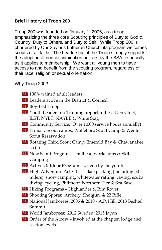#### **Brief History of Troop 200**

Troop 200 was founded on January 1, 2006, as a troop emphasizing the three core Scouting principles of Duty to God & Country, Duty to Others, and Duty to Self. While Troop 200 is chartered by Our Savior's Lutheran Church, its program welcomes scouts of all faiths. The Leadership of the Troop strongly supports the adoption of non-discrimination policies by the BSA, especially as it applies to membership. We want all young men to have access to and benefit from the scouting program, regardless of their race, religion or sexual orientation.

#### Why Troop 200?

- 200 100% trained adult leaders
- **200** Leaders active in the District  $\&$  Council
- Boy-Led Troop
- 200 Youth Leadership Training opportunities: Den Chief, ILST, NYLT, NAYLE & White Stag
- 200 Community Service: Over 1,000 service hours annually!
- 200 Primary Scout camps: Wolfeboro Scout Camp & Wente Scout Reservation
- 200 Rotating Third Scout Camp: Emerald Bay & Chawanakee so far…
- 200 New Scout Program Trailhead workshops & Skills Camping
- 200 Active Outdoor Program driven by the youth
- **200** High Adventure Activities Backpacking (including 50milers), snow camping, whitewater rafting, caving, scuba diving, cycling, Philmont, Northern Tier & Sea Base
- 200 Hiking Programs Highlander & Rim Rover
- 200 Shooting Sports: Archery, Shotgun, & 22 Rifle
- National Jamborees: 2006 & 2010 A.P. Hill, 2013 Bechtel Summit
- World Jamborees: 2012 Sweden, 2015 Japan
- Order of the Arrow involved at the chapter, lodge and section levels.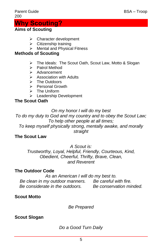#### Parent Guide **BSA** – Troop 200

# <span id="page-4-0"></span>**Why Scouting?**

# **Aims of Scouting**

- > Character development
- $\triangleright$  Citizenship training
- Mental and Physical Fitness

# **Methods of Scouting**

- > The Ideals: The Scout Oath, Scout Law, Motto & Slogan
- $\triangleright$  Patrol Method
- $\triangleright$  Advancement
- $\triangleright$  Association with Adults
- > The Outdoors
- $\triangleright$  Personal Growth
- $\triangleright$  The Uniform
- **Exercise** Development

# **The Scout Oath**

## *On my honor I will do my best*

*To do my duty to God and my country and to obey the Scout Law; To help other people at all times;*

*To keep myself physically strong, mentally awake, and morally straight*

## **The Scout Law**

*A Scout is:* 

*Trustworthy, Loyal, Helpful, Friendly, Courteous, Kind, Obedient, Cheerful, Thrifty, Brave, Clean, and Reverent*

## **The Outdoor Code**

*As an American I will do my best to. Be clean in my outdoor manners. Be careful with fire. Be considerate in the outdoors. Be conservation minded.*

# **Scout Motto**

*Be Prepared*

# **Scout Slogan**

# *Do a Good Turn Daily*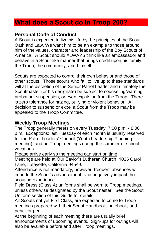# <span id="page-5-0"></span>**What does a Scout do in Troop 200?**

#### **Personal Code of Conduct**

A Scout is expected to live his life by the principles of the Scout Oath and Law. We want him to be an example to those around him of the values, character and leadership of the Boy Scouts of America. A Scout should ALWAYS think like an ambassador and behave in a Scout-like manner that brings credit upon his family, the Troop, the community, and himself.

Scouts are expected to control their own behavior and those of other scouts. Those scouts who fail to live up to these standards will at the discretion of the Senior Patrol Leader and ultimately the Scoutmaster (or his designate) be subject to counseling/warning, probation, suspension, or even expulsion from the Troop. There is zero tolerance for hazing, bullying or violent behavior. A decision to suspend or expel a Scout from the Troop may be appealed to the Troop Committee.

#### **Weekly Troop Meetings**

The Troop generally meets on every Tuesday, 7:00 p.m. - 8:00 p.m. Exceptions: last Tuesday of each month is usually reserved for the Patrol Leaders' Council (Youth Leadership Planning meeting); and no Troop meetings during the summer or school vacations.

Please arrive early so the meeting can start on time.

Meetings are held at Our Savior's Lutheran Church, 1035 Carol Lane, Lafayette, California 94549.

Attendance is not mandatory, however, frequent absences will impede the Scout's advancement, and negatively impact the scouting experience.

Field Dress (Class A) uniforms shall be worn to Troop meetings, unless otherwise designated by the Scoutmaster. See the Scout Uniform section of this Guide for details.

All Scouts not yet First Class, are expected to come to Troop meetings prepared with their Scout Handbook, notebook, and pencil or pen.

At the beginning of each meeting there are usually brief announcements of upcoming events. Sign-ups for outings will also be available before and after Troop meetings.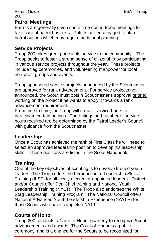#### **Patrol Meetings**

Patrols are generally given some time during troop meetings to take care of patrol business. Patrols are encouraged to plan patrol outings which may require additional planning.

#### **Service Projects**

Troop 200 takes great pride in its service to the community. The Troop seeks to foster a strong sense of citizenship by participating in various service projects throughout the year. These projects include flag ceremonies, and volunteering manpower for local non-profit groups and events.

Troop sponsored service projects announced by the Scoutmaster are approved for rank advancement. For service projects not announced, the Scout must obtain Scoutmaster's approval prior to working on the project if he wants to apply it towards a rank advancement requirement.

From time to time, the Troop will require service hours to participate certain outings. The outings and number of service hours required are be determined by the Patrol Leader's Council with guidance from the Scoutmaster.

#### **Leadership:**

Once a Scout has achieved the rank of First Class he will need to select an approved leadership position to develop his leadership skills. These positions are listed in the Scout Handbook.

#### **Training**

One of the key objectives of scouting is to develop trained youth leaders. The Troop offers the Introduction to Leadership Skills Training (ILST) for all newly elected or appointed leaders. District and/or Council offer Den Chief training and National Youth Leadership Training (NYLT). The Troop also endorses the White Stag Leadership Training Program. The National Council offers National Advanced Youth Leadership Experience (NAYLE) for those Scouts who have completed NYLT.

#### **Courts of Honor**

Troop 200 conducts a Court of Honor quarterly to recognize Scout advancements and awards. The Court of Honor is a public ceremony, and is a chance for the Scouts to be recognized for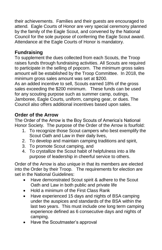their achievements. Families and their guests are encouraged to attend. Eagle Courts of Honor are very special ceremony planned by the family of the Eagle Scout, and convened by the National Council for the sole purpose of conferring the Eagle Scout award. Attendance at the Eagle Courts of Honor is mandatory.

# **Fundraising**

To supplement the dues collected from each Scouts, the Troop raises funds through fundraising activities. All Scouts are required to participate in the selling of popcorn. The minimum gross sales amount will be established by the Troop Committee. In 2018, the minimum gross sales amount was set at \$200.

As an added incentive to sell, Scouts earned 18% of the gross sales exceeding the \$200 minimum. These funds can be used for any scouting purpose such as summer camp, outings, Jamboree, Eagle Courts, uniform, camping gear, or dues. The Council also offers additional incentives based upon sales.

# **Order of the Arrow**

The Order of the Arrow is the Boy Scouts of America's National Honor Society. The purpose of the Order of the Arrow is fourfold:

- 1. To recognize those Scout campers who best exemplify the Scout Oath and Law in their daily lives,
- 2. To develop and maintain camping traditions and spirit,
- 3. To promote Scout camping, and
- 4. To crystallize the Scout habit of helpfulness into a life purpose of leadership in cheerful service to others.

Order of the Arrow is also unique in that its members are elected into the Order by their Troop. The requirements for election are set in the National Guidelines:

- Have demonstrated Scout spirit & adhere to the Scout Oath and Law in both public and private life
- Hold a minimum of the First Class Rank
- Have experienced 15 days and nights of BSA camping under the auspices and standards of the BSA within the last two years. This must include one long term camping experience defined as 6 consecutive days and nights of camping.
- Have the Scoutmaster's approval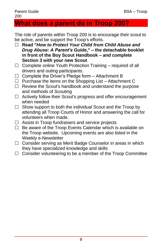#### Parent Guide BSA – Troop 200

# <span id="page-8-0"></span>**What does a parent do in Troop 200?**

The role of parents within Troop 200 is to encourage their scout to be active, and be support the Troop's efforts.

- **Read "***How to Protect Your Child from Child Abuse and Drug Abuse: A Parent's Guide***," – the detachable booklet in front of the Boy Scout Handbook – and complete Section 3 with your new Scout**
- $\Box$  Complete online Youth Protection Training required of all drivers and outing participants.
- $\Box$  Complete the Driver's Pledge form Attachment B
- $\Box$  Purchase the items on the Shopping List Attachment C
- $\Box$  Review the Scout's handbook and understand the purpose and methods of Scouting
- $\Box$  Actively follow their Scout's progress and offer encouragement when needed
- $\Box$  Show support to both the individual Scout and the Troop by attending all Troop Courts of Honor and answering the call for volunteers when made.
- $\Box$  Assist in Troop fundraisers and service projects
- $\Box$  Be aware of the Troop Events Calendar which is available on the Troop website. Upcoming events are also listed in the Weekly e-Newsletter
- $\Box$  Consider serving as Merit Badge Counselor in areas in which they have specialized knowledge and skills
- <span id="page-8-1"></span> $\Box$  Consider volunteering to be a member of the Troop Committee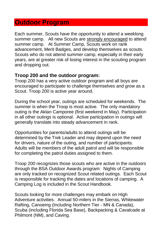# **Outdoor Program**

Each summer, Scouts have the opportunity to attend a weeklong summer camp. All new Scouts are strongly encouraged to attend summer camp. At Summer Camp, Scouts work on rank advancement, Merit Badges, and develop themselves as scouts. Scouts who do not attend summer camp, especially in their early years, are at greater risk of losing interest in the scouting program and dropping out.

#### **Troop 200 and the outdoor program:**

Troop 200 has a very active outdoor program and all boys are encouraged to participate to challenge themselves and grow as a Scout. Troop 200 is active year around.

During the school year, outings are scheduled for weekends. The summer is when the Troop is most active. The only mandatory outing is the Aklan Camporee (first weekend in May). Participation in all other outings is optional. Active participation in outings will generally translate into steady advancement in rank.

Opportunities for parents/adults to attend outings will be determined by the Trek Leader and may depend upon the need for drivers, nature of the outing, and number of participants. Adults will be members of the adult patrol and will be responsible for completing the patrol duties assigned to them.

Troop 200 recognizes those scouts who are active in the outdoors through the BSA Outdoor Awards program: Nights of Camping are only tracked on recognized Scout related outings. Each Scout is responsible for tracking the dates and locations of camping. A Camping Log is included in the Scout Handbook.

Scouts looking for more challenges may embark on High Adventure activities. Annual 50-milers in the Sierras, Whitewater Rafting, Canoeing (Including Northern Tier - MN & Canada), Scuba (including Florida Sea Base), Backpacking & Cavalcade at Philmont (NM), and Caving.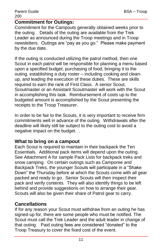#### **Commitment for Outings:**

Commitment for the Campouts generally obtained weeks prior to the outing. Details of the outing are available from the Trek Leader as announced during the Troop meetings and in Troop newsletters. Outings are "pay as you go." Please make payment by the due date.

If the outing is conducted utilizing the patrol method, then one Scout in each patrol will be responsible for planning a menu based upon a specified budget, purchasing of food, bringing it to the outing, establishing a duty roster – including cooking and cleanup, and leading the execution of these duties. These are skills required to earn the rank of First Class. A senior Scout, Scoutmaster or an Assistant Scoutmaster will work with the Scout in accomplishing this task. Reimbursement of costs up to the budgeted amount is accomplished by the Scout presenting the receipts to the Troop Treasurer.

In order to be fair to the Scouts, it is very important to receive firm commitments well in advance of the outing. Withdrawals after the deadline will likely still be subject to the outing cost to avoid a negative impact on the budget. .

#### **What to bring on a campout**

Each Scout is required to maintain in their backpack the Ten Essentials. Additional pack items will depend upon the outing. See Attachment A for sample Pack Lists for backpack treks and snow camping. On certain outings such as Camporee and Backpack Treks, the younger Scouts will participate in a "Shake Down" the Thursday before at which the Scouts come with all gear packed and ready to go. Senior Scouts will then inspect their pack and verify contents. They will also identify things to be left behind and provide suggestions on how to arrange their gear. Scouts will also be given their share of Patrol gear to carry.

#### **Cancellations**

If for any reason your Scout must withdraw from an outing he has signed-up for, there are some people who must be notified. The Scout must call the Trek Leader and the adult leader in change of that outing. Paid outing fees are considered "donated" to the Troop Treasury to cover the fixed cost of the event.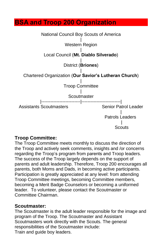# <span id="page-11-0"></span>**BSA and Troop 200 Organization**



#### **Troop Committee:**

The Troop Committee meets monthly to discuss the direction of the Troop and actively seek comments, insights and /or concerns regarding the Troop's program from parents and Troop leaders. The success of the Troop largely depends on the support of parents and adult leadership. Therefore, Troop 200 encourages all parents, both Moms and Dads, in becoming active participants. Participation is greatly appreciated at any level: from attending Troop Committee meetings, becoming Committee members, becoming a Merit Badge Counselors or becoming a uniformed leader. To volunteer, please contact the Scoutmaster or Committee Chairman.

#### **Scoutmaster:**

The Scoutmaster is the adult leader responsible for the image and program of the Troop. The Scoutmaster and Assistant Scoutmasters work directly with the Scouts. The general responsibilities of the Scoutmaster include: Train and guide boy leaders.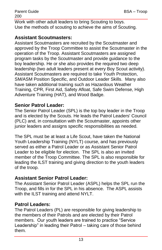Work with other adult leaders to bring Scouting to boys. Use the methods of scouting to achieve the aims of Scouting.

#### **Assistant Scoutmasters:**

Assistant Scoutmasters are recruited by the Scoutmaster and approved by the Troop Committee to assist the Scoutmaster in the operation of the Troop. Assistant Scoutmasters are assigned program tasks by the Scoutmaster and provide guidance to the boy leadership. He or she also provides the required two deep leadership (two adult leaders present at every Boy Scout activity). Assistant Scoutmasters are required to take Youth Protection, SM/ASM Position Specific, and Outdoor Leader Skills. Many also have taken additional training such as Hazardous Weather Training, CPR, First Aid, Safety Afloat, Safe Swim Defense, High Adventure Training (HAT), and Wood Badge.

#### **Senior Patrol Leader:**

The Senior Patrol Leader (SPL) is the top boy leader in the Troop and is elected by the Scouts. He leads the Patrol Leaders' Council (PLC) and, in consultation with the Scoutmaster, appoints other junior leaders and assigns specific responsibilities as needed.

The SPL must be at least a Life Scout, have taken the National Youth Leadership Training (NYLT) course, and has previously served as either a Patrol Leader or as Assistant Senior Patrol Leader to be eligible for election. The SPL is also an invited member of the Troop Committee. The SPL is also responsible for leading the ILST training and giving direction to the youth leaders of the troop.

#### **Assistant Senior Patrol Leader:**

The Assistant Senior Patrol Leader (ASPL) helps the SPL run the Troop, and fills in for the SPL in his absence. The ASPL assists with the ILST training and attend NYLT.

#### **Patrol Leaders:**

The Patrol Leaders (PL) are responsible for giving leadership to the members of their Patrols and are elected by their Patrol members. Our youth leaders are trained to practice "Service Leadership" in leading their Patrol – taking care of those behind them.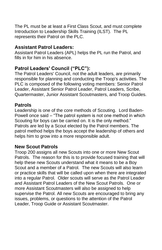The PL must be at least a First Class Scout, and must complete Introduction to Leadership Skills Training (ILST). The PL represents their Patrol on the PLC.

#### **Assistant Patrol Leaders:**

Assistant Patrol Leaders (APL) helps the PL run the Patrol, and fills in for him in his absence.

#### **Patrol Leaders' Council ("PLC"):**

The Patrol Leaders' Council, not the adult leaders, are primarily responsible for planning and conducting the Troop's activities. The PLC is composed of the following voting members: Senior Patrol Leader, Assistant Senior Patrol Leader, Patrol Leaders, Scribe, Quartermaster, Junior Assistant Scoutmasters, and Troop Guides.

#### **Patrols**

Leadership is one of the core methods of Scouting. Lord Baden-Powell once said – "The patrol system is not one method in which Scouting for boys can be carried on. It is the only method." Patrols are led by a Scout elected by the Patrol members. The patrol method helps the boys accept the leadership of others and helps him to grow into a more responsible adult.

#### **New Scout Patrols**

Troop 200 assigns all new Scouts into one or more New Scout Patrols. The reason for this is to provide focused training that will help these new Scouts understand what it means to be a Boy Scout and a member of a Patrol. The new Scouts will also learn or practice skills that will be called upon when there are integrated into a regular Patrol. Older scouts will serve as the Patrol Leader and Assistant Patrol Leaders of the New Scout Patrols. One or more Assistant Scoutmasters will also be assigned to help supervise the Patrol. All new Scouts are encouraged to bring any issues, problems, or questions to the attention of the Patrol Leader, Troop Guide or Assistant Scoutmaster.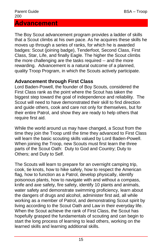<span id="page-14-0"></span>The Boy Scout advancement program provides a ladder of skills that a Scout climbs at his own pace. As he acquires these skills he moves up through a series of ranks, for which he is awarded badges: Scout (joining badge), Tenderfoot, Second Class, First Class, Star, Life, and finally Eagle. The higher the Scout climbs the more challenging are the tasks required -- and the more rewarding. Advancement is a natural outcome of a planned, quality Troop Program, in which the Scouts actively participate.

#### **Advancement through First Class**

Lord Baden-Powell, the founder of Boy Scouts, considered the First Class rank as the point where the Scout has taken the biggest step toward the goal of independence and reliability. The Scout will need to have demonstrated their skill to find direction and guide others, cook and care not only for themselves, but for their entire Patrol, and show they are ready to help others that require first aid.

While the world around us may have changed, a Scout from the time they join the Troop until the time they advanced to First Class will learn the basic scouting skills valued by Lord Baden-Powell. When joining the Troop, new Scouts must first learn the three parts of the Scout Oath: Duty to God and Country; Duty to Others; and Duty to Self.

The Scouts will learn to prepare for an overnight camping trip, cook, tie knots, how to hike safely, how to respect the American flag, how to function as a Patrol, develop physically, identify poisonous plants, how to navigate with and without a compass, knife and axe safety, fire safety, identify 10 plants and animals, water safety and demonstrate swimming proficiency, learn about the dangers of drugs and alcohol, administer first aid, all while working as a member of Patrol, and demonstrating Scout spirit by living according to the Scout Oath and Law in their everyday life. When the Scout achieve the rank of First Class, the Scout has hopefully grasped the fundamentals of scouting and can begin to start the long process of learning to lead others, working on the learned skills and learning additional skills.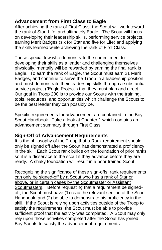## **Advancement from First Class to Eagle**

After achieving the rank of First Class, the Scout will work toward the rank of Star, Life, and ultimately Eagle. The Scout will focus on developing their leadership skills, performing service projects, earning Merit Badges (six for Star and five for Life) and applying the skills learned while achieving the rank of First Class.

Those special few who demonstrate the commitment to developing their skills as a leader and challenging themselves physically, mentally will be rewarded by earning the final rank is Eagle. To earn the rank of Eagle, the Scout must earn 21 Merit Badges, and continue to serve the Troop in a leadership position, and must demonstrate their leadership skills through a substantial service project ("Eagle Project") that they must plan and direct. Our goal in Troop 200 is to provide our Scouts with the training, tools, resources, and opportunities which challenge the Scouts to be the best leader they can possibly be.

Specific requirements for advancement are contained in the Boy Scout Handbook. Take a look at Chapter 1 which contains an advancement summary through First Class.

#### **Sign-Off of Advancement Requirements**

It is the philosophy of the Troop that a Rank requirement should only be signed off after the Scout has demonstrated a proficiency in the skill. Each Scout rank builds on the foundation of prior ranks so it is a disservice to the scout if they advance before they are ready. A shaky foundation will result in a poor trained Scout.

Recognizing the significance of these sign-offs, rank requirements can only be signed-off by a Scout who has a rank of Star or above, or in certain cases by the Scoutmaster or Assistant Scoutmasters. Before requesting that a requirement be signedoff, the Scout must have (1) read the relevant section of the Scout Handbook, and (2) be able to demonstrate his proficiency in the skill. If the Scout is relying upon activities outside of the Troop to satisfy the requirements, the Scout must be able to provide sufficient proof that the activity was completed. A Scout may only rely upon those activities completed after the Scout has joined Boy Scouts to satisfy the advancement requirements.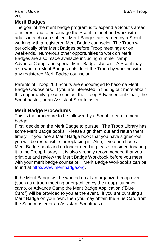#### **Merit Badges**

The goal of the merit badge program is to expand a Scout's areas of interest and to encourage the Scout to meet and work with adults in a chosen subject. Merit Badges are earned by a Scout working with a registered Merit Badge counselor. The Troop will periodically offer Merit Badges before Troop meetings or on weekends. Numerous other opportunities to work on Merit Badges are also made available including summer camp, Advance Camp, and special Merit Badge classes. A Scout may also work on Merit Badges outside of the Troop by working with any registered Merit Badge counselor.

Parents of Troop 200 Scouts are encouraged to become Merit Badge Counselors. If you are interested in finding out more about this opportunity, please contact the Troop Advancement Chair, the Scoutmaster, or an Assistant Scoutmaster.

#### **Merit Badge Procedures**

This is the procedure to be followed by a Scout to earn a merit badge:

First, decide on the Merit Badge to pursue. The Troop Library has some Merit Badge books. Please sign them out and return them timely. If you lose a Merit Badge book that you have signed-out, you will be responsible for replacing it. Also, if you purchase a Merit Badge book and no longer need it, please consider donating it to the Troop Library. It is also strongly recommended that you print out and review the Merit Badge Workbook before you meet with your merit badge counselor. Merit Badge Workbooks can be found at [http://www.meritbadge.org.](http://www.meritbadge.org/)

If the Merit Badge will be worked on at an organized troop event (such as a troop meeting or organized by the troop), summer camp, or Advance Camp the Merit Badge Application ("Blue Card") will be provided to you at the event. If you are pursuing a Merit Badge on your own, then you may obtain the Blue Card from the Scoutmaster or an Assistant Scoutmaster.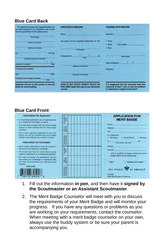#### **Blue Card Back**

| The applicant has personally appeared before me-<br>and demonstrated to my satisfaction that he has<br>met all requirements for the iplease print). | <b>APPLICANT'S RECORD</b>                                                                         | COUNSELOR'S RECORD                                                                                                                           |  |
|-----------------------------------------------------------------------------------------------------------------------------------------------------|---------------------------------------------------------------------------------------------------|----------------------------------------------------------------------------------------------------------------------------------------------|--|
|                                                                                                                                                     | <b>Name</b>                                                                                       | <b>Applicant</b>                                                                                                                             |  |
| blonit bootpe                                                                                                                                       |                                                                                                   |                                                                                                                                              |  |
|                                                                                                                                                     | has given me his completed application for the                                                    | $\square$ lines:                                                                                                                             |  |
| <b>Name of counselor</b>                                                                                                                            |                                                                                                   | <b>Ci Toarn</b><br>Unit municipal                                                                                                            |  |
| Address of counselor                                                                                                                                | <b>Main Earlier</b>                                                                               | <b>CI Post</b>                                                                                                                               |  |
| <b>Ziff costs</b><br><b>Civ</b>                                                                                                                     | Completed on                                                                                      | <b>Mark hadra</b>                                                                                                                            |  |
| Telephone number of counselor                                                                                                                       | Date                                                                                              |                                                                                                                                              |  |
| -<br><b>Language of Contractor</b>                                                                                                                  |                                                                                                   | Date completed                                                                                                                               |  |
|                                                                                                                                                     | Signature of counseler                                                                            |                                                                                                                                              |  |
| Checked and recorded:                                                                                                                               |                                                                                                   | <b>Remarks:</b>                                                                                                                              |  |
| ਦਾ<br><b>District</b>                                                                                                                               | Survaise of unit leader                                                                           |                                                                                                                                              |  |
| Certificate and badge presented<br><b>Date</b>                                                                                                      |                                                                                                   |                                                                                                                                              |  |
| Applicant will turn in this portion to his unit<br>leader for record posting.                                                                       | NOTE TO BOY SCOUT, VARSITY SCOUT, OR<br>EXPLORER: Retain this copy for your permanent<br>records. | It is suggested that the counselor keep this<br>record for at least 1 year in case any question.<br>is raised later in regard to this award. |  |

#### **Blue Card Front**

#### **Information for Applicant**

- A merit badge application can be approved only by a registered merit badge counselor.
- . You must have a buddy with you (Scout buddy system) at each meeting with the merit badge counselor.
- · Turn in your approved application to your unit leader. You will be awarded the merit badge emblem and certificate at a suitable occasion

#### **Information for Counselor**

- Merit badge applications must be signed in advance by the applicant's unit leader.
- . The Scout must have his buddy (Scout buddy system) in attendance at all instructional sessi
- · You may not change any requirement, but you may share your knowledge or experience that will make the counseling more interesting and valuable. #34124A

 $7\left\| \frac{1}{30176} \right\|_{34124}$ 



- 1. Fill out the information **in pen**, and then have it **signed by the Scoutmaster or an Assistant Scoutmaster**.
- 2. The Merit Badge Counselor will meet with you to discuss the requirements of your Merit Badge and will monitor your progress. If you have any questions or problems as you are working on your requirements, contact the counselor. When meeting with a merit badge counselor on your own, always use the buddy system or be sure your parent is accompanying you.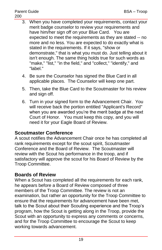- 3. When you have completed your requirements, contact your merit badge counselor to review your requirements and have him/her sign off on your Blue Card. You are expected to meet the requirements as they are stated -- no more and no less. You are expected to do exactly what is stated in the requirements. If it says, "show or demonstrate," that is what you must do. Just telling about it isn't enough. The same thing holds true for such words as "make," "list," "in the field," and "collect," "identify," and "label."
- 4. Be sure the Counselor has signed the Blue Card in all applicable places. The Counselor will keep one part.
- 5. Then, take the Blue Card to the Scoutmaster for his review and sign off.
- 6. Turn in your signed form to the Advancement Chair. You will receive back the portion entitled "Applicant's Record" when you are awarded you're the merit badge at the next Court of Honor. You must keep this copy, and you will need it for your Eagle Board of Review.

#### **Scoutmaster Conference**

A scout notifies the Advancement Chair once he has completed all rank requirements except for the scout spirit, Scoutmaster Conference and the Board of Review. The Scoutmaster will review with the Scout his performance in the troop, and if satisfactory will approve the scout for his Board of Review by the Troop Committee.

#### **Boards of Review**

When a Scout has completed all the requirements for each rank, he appears before a Board of Review composed of three members of the Troop Committee. The review is not an examination, but rather an opportunity for the Troop Committee to ensure that the requirements for advancement have been met, talk to the Scout about their Scouting experience and the Troop's program, how the Scout is getting along in the Troop, provide the Scout with an opportunity to express any comments or concerns, and for the Troop Committee to encourage the Scout to keep working towards advancement.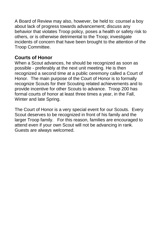A Board of Review may also, however, be held to: counsel a boy about lack of progress towards advancement; discuss any behavior that violates Troop policy, poses a health or safety risk to others, or is otherwise detrimental to the Troop; investigate incidents of concern that have been brought to the attention of the Troop Committee.

#### **Courts of Honor**

When a Scout advances, he should be recognized as soon as possible - preferably at the next unit meeting. He is then recognized a second time at a public ceremony called a Court of Honor. The main purpose of the Court of Honor is to formally recognize Scouts for their Scouting related achievements and to provide incentive for other Scouts to advance. Troop 200 has formal courts of honor at least three times a year, in the Fall, Winter and late Spring.

<span id="page-19-0"></span>The Court of Honor is a very special event for our Scouts. Every Scout deserves to be recognized in front of his family and the larger Troop family. For this reason, families are encouraged to attend even if your own Scout will not be advancing in rank. Guests are always welcomed.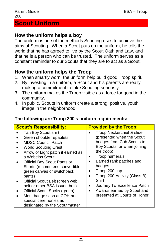#### **How the uniform helps a boy**

The uniform is one of the methods Scouting uses to achieve the aims of Scouting. When a Scout puts on the uniform, he tells the world that he has agreed to live by the Scout Oath and Law, and that he is a person who can be trusted. The uniform serves as a constant reminder to our Scouts that they are to act as a Scout.

#### **How the uniform helps the Troop**

- 1. When smartly worn, the uniform help build good Troop spirit.
- 2. By investing in a uniform, a Scout and his parents are really making a commitment to take Scouting seriously.
- 3. The uniform makes the Troop visible as a force for good in the community.
- 4. In public, Scouts in uniform create a strong, positive, youth image in the neighborhood.

#### **The following are Troop 200's uniform requirements:**

| <b>Scout's Responsibility:</b>    | <b>Provided by the Troop:</b> |  |  |
|-----------------------------------|-------------------------------|--|--|
| Tan Boy Scout shirt               | Troop Neckerchief & slide     |  |  |
| Green shoulder epaulets           | (presented when the Scout     |  |  |
| <b>MDSC Council Patch</b>         | bridges from Cub Scouts to    |  |  |
| <b>World Scouting Crest</b>       | Boy Scouts, or when joining   |  |  |
| Arrow of Light patch if earned as | the troop)                    |  |  |
| a Webelos Scout                   | Troop numerals                |  |  |
| Official Boy Scout Pants or       | Earned rank patches and       |  |  |
| Shorts (recommend convertible     | badges                        |  |  |
| green canvas or switchback        | Troop 200 cap                 |  |  |
| pants)                            | Troop 200 Activity (Class B)  |  |  |
| Official Scout Belt (green web    |                               |  |  |
| belt or other BSA issued belt)    | Shirt                         |  |  |
| Official Scout Socks (green)      | Journey To Excellence Patch   |  |  |
| Merit badge sash at COH and       | Awards earned by Scout and    |  |  |
| special ceremonies as             | ٠                             |  |  |
| designated by the Scoutmaster     | presented at Courts of Honor  |  |  |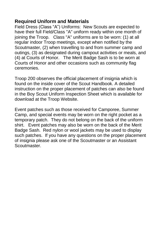#### **Required Uniform and Materials**

Field Dress (Class "A") Uniforms: New Scouts are expected to have their full Field/Class "A" uniform ready within one month of joining the Troop. Class "A" uniforms are to be worn: (1) at all regular indoor Troop meetings, except when notified by the Scoutmaster, (2) when travelling to and from summer camp and outings, (3) as designated during campout activities or meals, and (4) at Courts of Honor. The Merit Badge Sash is to be worn at Courts of Honor and other occasions such as community flag ceremonies.

Troop 200 observes the official placement of insignia which is found on the inside cover of the Scout Handbook. A detailed instruction on the proper placement of patches can also be found in the Boy Scout Uniform Inspection Sheet which is available for download at the Troop Website.

<span id="page-21-0"></span>Event patches such as those received for Camporee, Summer Camp, and special events may be worn on the right pocket as a temporary patch. They do not belong on the back of the uniform shirt. Event patches may also be worn on the back of the Merit Badge Sash. Red nylon or wool jackets may be used to display such patches. If you have any questions on the proper placement of insignia please ask one of the Scoutmaster or an Assistant Scoutmaster.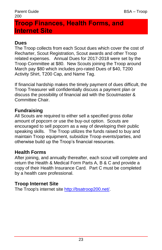# **Troop Finances, Health Forms, and Internet Site**

#### **Dues**

The Troop collects from each Scout dues which cover the cost of Recharter, Scout Registration, Scout awards and other Troop related expenses. Annual Dues for 2017-2018 were set by the Troop Committee at \$80. New Scouts joining the Troop around March pay \$80 which includes pro-rated Dues of \$40, T200 Activity Shirt, T200 Cap, and Name Tag.

If financial hardship makes the timely payment of dues difficult, the Troop Treasurer will confidentially discuss a payment plan or discuss the possibility of financial aid with the Scoutmaster & Committee Chair.

#### **Fundraising**

All Scouts are required to either sell a specified gross dollar amount of popcorn or use the buy-out option. Scouts are encouraged to sell popcorn as a way of developing their public speaking skills. The Troop utilizes the funds raised to buy and maintain Troop equipment, subsidize Troop events/parties, and otherwise build up the Troop's financial resources.

#### **Health Forms**

After joining, and annually thereafter, each scout will complete and return the Health & Medical Form Parts A, B & C and provide a copy of their Health Insurance Card. Part C must be completed by a health care professional.

#### **Troop Internet Site**

<span id="page-22-0"></span>The Troop's internet site [http://bsatroop200.net/.](http://bsatroop200.net/)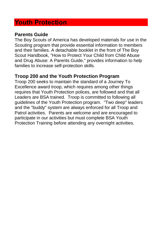# **Youth Protection**

#### **Parents Guide**

The Boy Scouts of America has developed materials for use in the Scouting program that provide essential information to members and their families. A detachable booklet in the front of The Boy Scout Handbook, "How to Protect Your Child from Child Abuse and Drug Abuse: A Parents Guide," provides information to help families to increase self-protection skills.

#### **Troop 200 and the Youth Protection Program**

Troop 200 seeks to maintain the standard of a Journey To Excellence award troop, which requires among other things requires that Youth Protection polices, are followed and that all Leaders are BSA trained. Troop is committed to following all guidelines of the Youth Protection program. "Two deep" leaders and the "buddy" system are always enforced for all Troop and Patrol activities. Parents are welcome and are encouraged to participate in our activities but must complete BSA Youth Protection Training before attending any overnight activities.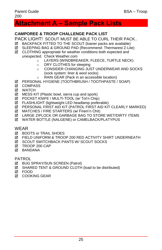# <span id="page-24-0"></span>**Attachment A – Sample Pack Lists**

#### **CAMPOREE & TROOP CHALLENGE PACK LIST**

PACK LIGHT! SCOUT MUST BE ABLE TO CURL THEIR PACK..

- BACKPACK FITTED TO THE SCOUT (loaner packs are available)
- SLEEPING BAG & GROUND PAD (Recommend: Thermarest Z-Lite)
- CLOTHING appropriate for weather conditions both expected and unexpected. Check Weather.com
	- o LAYERS (WINDBREAKER, FLEECE, TURTLE NECK)
	- o DRY CLOTHES for sleeping
	- o CONSIDER CHANGING JUST UNDERWEAR AND SOCKS (sock system: liner & wool socks)
	- o RAIN GEAR (Pack in an accessible location)
- PERSONAL HYGIENE (TOOTHBRUSH / TOOTHPASTE / SOAP)
- **☑** COMPASS
- **M** WATCH
- $\boxtimes$  MESS KIT (Plastic bowl, sierra cup and spork)
- $\boxtimes$  POCKET KNIFE / MULTI-TOOL (w/ Tot'n Chip)
- **Ø** FLASHLIGHT (lightweight LED headlamp preferable)
- PERSONAL FIRST AID KIT (PATROL FIRST AID KIT CLEARLY MARKED)
- $\boxtimes$  MATCHES / FIRE STARTERS (w/ Firem'n Chit)
- LARGE ZIPLOCK OR GARBAGE BAG TO STORE WET/DIRTY ITEMS
- WATER BOTTLE (NALGENE) or CAMELBACK/PLATYPUS

WEAR

- **EX BOOTS or TRAIL SHOES**
- FIELD UNIFORM & TROOP 200 RED ACTIVITY SHIRT UNDERNEATH
- **EX SCOUT SWITCHBACK PANTS W/ SCOUT SOCKS**
- **Ø TROOP 200 CAP**
- **M** BANDANA

PATROL

- **Ø BUG SPRAY/SUN SCREEN (Patrol)**
- $\boxtimes$  SHARED TENT & GROUND CLOTH (load to be distributed)
- FOOD
- **M** COOKING GEAR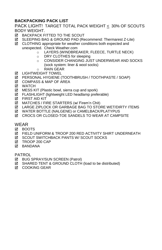#### **BACKPACKING PACK LIST**

PACK LIGHT! TARGET TOTAL PACK WEIGHT < 30% OF SCOUTS BODY WEIGHT.

- **EX BACKPACK FITTED TO THE SCOUT**
- SLEEPING BAG & GROUND PAD (Recommend: Thermarest Z-Lite)
- CLOTHING appropriate for weather conditions both expected and unexpected. Check Weather.com
	- o LAYERS (WINDBREAKER, FLEECE, TURTLE NECK)
	- o DRY CLOTHES for sleeping
	- o CONSIDER CHANGING JUST UNDERWEAR AND SOCKS (sock system: liner & wool socks)
	- o RAIN GEAR
- **M** LIGHTWEIGHT TOWEL
- PERSONAL HYGIENE (TOOTHBRUSH / TOOTHPASTE / SOAP)
- **Ø COMPASS & MAP OF AREA**
- M WATCH
- $\boxtimes$  MESS KIT (Plastic bowl, sierra cup and spork)
- $\boxtimes$  FLASHLIGHT (lightweight LED headlamp preferable)
- **M** FIRST AID KIT
- MATCHES / FIRE STARTERS (w/ Firem'n Chit)
- LARGE ZIPLOCK OR GARBAGE BAG TO STORE WET/DIRTY ITEMS
- WATER BOTTLE (NALGENE) or CAMELBACK/PLATYPUS
- $✓$  CROCS OR CLOSED-TOE SANDELS TO WEAR AT CAMPSITE

WEAR

- **M** BOOTS
- FIELD UNIFORM & TROOP 200 RED ACTIVITY SHIRT UNDERNEATH
- **⊠ SCOUT SWITCHBACK PANTS W/ SCOUT SOCKS**
- **M** TROOP 200 CAP
- **Ø BANDANA**

PATROL

- **Ø BUG SPRAY/SUN SCREEN (Patrol)**
- SHARED TENT & GROUND CLOTH (load to be distributed)
- **M** COOKING GEAR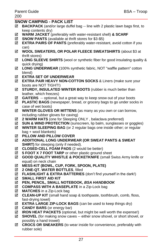Parent Guide **BSA** – Troop

#### **SNOW CAMPING - PACK LIST**

- **BACKPACK** (and/or large duffel bag -- line with 2 plastic lawn bags first, to keep contents dry)
- **WARM JACKET** (preferably with water-resistant shell) **& SCARF**
- **SNOW PANTS** (available at thrift stores for \$3-\$5)
- **EXTRA PAIRS OF PANTS** (preferably water-resistant, avoid cotton if you can)
- **WOOL SWEATERS, OR POLAR FLEECE SWEATSHIRTS** (about \$3 at thrift stores)
- **LONG SLEEVE SHIRTS** (wool or synthetic fiber for good insulating quality & quick drying)
- **LONG UNDERWEAR** (100% synthetic fabric, NOT "waffle pattern" cotton blend)
- **EXTRA SET OF UNDERWEAR**
- **EXTRA PAIR HEAVY NON-COTTON SOCKS** & Liners (make sure your boots are NOT TIGHT!)
- **STURDY, INSULATED WINTER BOOTS** (rubber is much better than leather, which freezes)
- **GAITERS** -- optional, but a great way to keep snow out of your boots
- **PLASTIC BAGS** (newspaper, bread, or grocery bags to go under socks in case of wet boots)
- **WINTER GLOVES OR MITTENS** (as many as you own or can borrow, including rubber gloves for caving)
- **2 WARM HATS** (one for Sleeping ONLY , balaclava preferred)
- $✓$  **SUN & WIND PROTECTION** (sunscreen, lip balm, sunglasses or goggles)
- **WINTER SLEEPING BAG** (or 2 regular bags one inside other; or regular bag + wool blankets)
- **PILLOW AND PILLOW COVER**
- **ADDITIONAL LONG UNDERWEAR (OR SWEAT PANTS & SWEAT SHIRT)** for sleeping (only if needed).
- $\boxtimes$  **CLOSED-CELL FOAM PADS** (2 would be better)
- **5 FOOT X 7 FOOT TARP** or other plastic ground sheet
- **GOOD QUALITY WHISTLE & POCKETKNIFE** (small Swiss Army knife or equal) on neck chain
- **MESS-KIT (BOWL, CUP, FORK, SPOON, PLATE)**
- **2 ONE-QT. WATER BOTTLES**, filled
- **FLASHLIGHT & EXTRA BATTERIES** (don't find yourself in the dark!)
- **SMALL FIRST AID KIT**
- **PEN, PENCIL, SMALL NOTEBOOK,** *BSA HANDBOOK*
- **COMPASS WITH A BASEPLATE** in a Zip-Lock bag
- **MATCHES** in a Zip-Lock bag
- **CLEAN-UP KIT** (small hand soap & toothpaste, toothbrush, comb, floss, fast-drying towel)
- **EXTRA LARGE ZIP-LOCK BAGS** (can be used to keep things dry)
- **CANDY BARS** (or energy bar)
- **IRON HEAT PACKETS** (optional, but might be well worth the expense!)
- **SHOVEL** (for making snow caves -- either snow shovel, or short shovel, or possibly a hand trowel)
- **CROCS OR SNEAKERS** (to wear inside for convenience, preferably with rubber sole)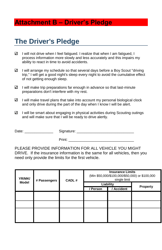# <span id="page-27-0"></span>**Attachment B – Driver's Pledge**

# **The Driver's Pledge**

- $\checkmark$ I will not drive when I feel fatigued. I realize that when I am fatigued, I process information more slowly and less accurately and this impairs my ability to react in time to avoid accidents.
- $\checkmark$ I will arrange my schedule so that several days before a Boy Scout "driving trip," I will get a good night's sleep every night to avoid the cumulative effect of not getting enough sleep.
- $\checkmark$ I will make trip preparations far enough in advance so that last-minute preparations don't interfere with my rest.
- $\checkmark$ I will make travel plans that take into account my personal biological clock and only drive during the part of the day when I know I will be alert.
- $\checkmark$ I will be smart about engaging in physical activities during Scouting outings and will make sure that I will be ready to drive alertly.

Date: example and Signature:  $\Box$ 

Print: \_\_\_\_\_\_\_\_\_\_\_\_\_\_\_\_\_\_\_\_\_\_\_\_\_\_\_\_\_\_\_\_

PLEASE PROVIDE INFORMATION FOR ALL VEHICLE YOU MIGHT DRIVE. If the insurance information is the same for all vehicles, then you need only provide the limits for the first vehicle.

| YR/MK/<br># Passengers |           | CADL# | <b>Insurance Limits</b><br>(Min \$50,000/\$100,000/\$50,000) or \$100,000<br>single limit |                 |  |
|------------------------|-----------|-------|-------------------------------------------------------------------------------------------|-----------------|--|
| <b>Model</b>           | Liability |       |                                                                                           |                 |  |
|                        | / Person  |       | Accident                                                                                  | <b>Property</b> |  |
|                        |           |       |                                                                                           |                 |  |
|                        |           |       |                                                                                           |                 |  |
|                        |           |       |                                                                                           |                 |  |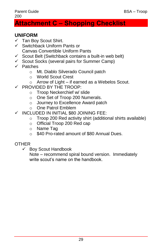#### Parent Guide BSA – Troop 200

# <span id="page-28-0"></span>**Attachment C – Shopping Checklist**

#### **UNIFORM**

- $\checkmark$  Tan Boy Scout Shirt.
- $\checkmark$  Switchback Uniform Pants or Canvas Convertible Uniform Pants
- $\checkmark$  Scout Belt (Switchback contains a built-in web belt)
- $\checkmark$  Scout Socks (several pairs for Summer Camp)
- $\checkmark$  Patches
	- o Mt. Diablo Silverado Council patch
	- o World Scout Crest
	- o Arrow of Light if earned as a Webelos Scout.
- $\checkmark$  PROVIDED BY THE TROOP:
	- o Troop Neckerchief w/ slide
	- o One Set of Troop 200 Numerals.
	- o Journey to Excellence Award patch
	- o One Patrol Emblem
- $\checkmark$  INCLUDED IN INITIAL \$80 JOINING FEE:
	- o Troop 200 Red activity shirt (additional shirts available)
	- o Official Troop 200 Red cap
	- o Name Tag
	- o \$40 Pro-rated amount of \$80 Annual Dues.

#### **OTHER**

 $\checkmark$  Boy Scout Handbook

Note – recommend spiral bound version. Immediately write scout's name on the handbook.